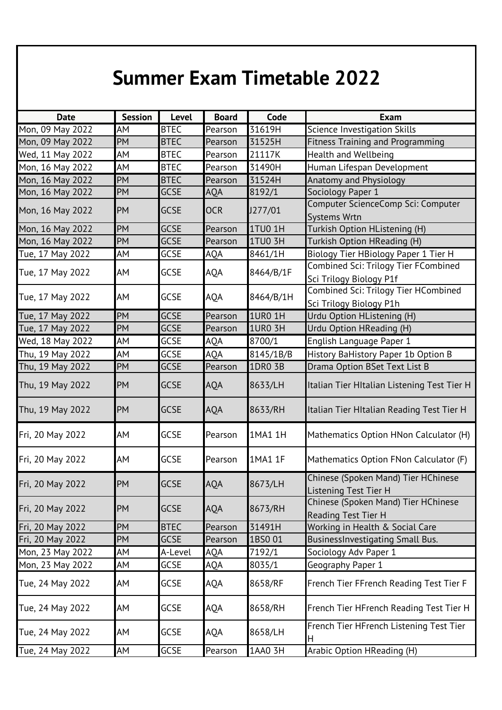## **Summer Exam Timetable 2022**

| <b>Date</b>      | <b>Session</b> | <b>Level</b> | <b>Board</b> | Code           | <b>Exam</b>                                                         |
|------------------|----------------|--------------|--------------|----------------|---------------------------------------------------------------------|
| Mon, 09 May 2022 | AM             | <b>BTEC</b>  | Pearson      | 31619H         | Science Investigation Skills                                        |
| Mon, 09 May 2022 | PM             | <b>BTEC</b>  | Pearson      | 31525H         | <b>Fitness Training and Programming</b>                             |
| Wed, 11 May 2022 | AM             | <b>BTEC</b>  | Pearson      | 21117K         | <b>Health and Wellbeing</b>                                         |
| Mon, 16 May 2022 | AM             | <b>BTEC</b>  | Pearson      | 31490H         | Human Lifespan Development                                          |
| Mon, 16 May 2022 | PM             | <b>BTEC</b>  | Pearson      | 31524H         | Anatomy and Physiology                                              |
| Mon, 16 May 2022 | PM             | <b>GCSE</b>  | AQA          | 8192/1         | Sociology Paper 1                                                   |
| Mon, 16 May 2022 | PM             | <b>GCSE</b>  | <b>OCR</b>   | J277/01        | Computer ScienceComp Sci: Computer<br><b>Systems Wrtn</b>           |
| Mon, 16 May 2022 | PM             | <b>GCSE</b>  | Pearson      | <b>1TU0 1H</b> | Turkish Option HListening (H)                                       |
| Mon, 16 May 2022 | PM             | <b>GCSE</b>  | Pearson      | 1TU0 3H        | Turkish Option HReading (H)                                         |
| Tue, 17 May 2022 | AΜ             | <b>GCSE</b>  | AQA          | 8461/1H        | Biology Tier HBiology Paper 1 Tier H                                |
| Tue, 17 May 2022 | AM             | <b>GCSE</b>  | AQA          | 8464/B/1F      | Combined Sci: Trilogy Tier FCombined<br>Sci Trilogy Biology P1f     |
| Tue, 17 May 2022 | AM             | <b>GCSE</b>  | <b>AQA</b>   | 8464/B/1H      | Combined Sci: Trilogy Tier HCombined<br>Sci Trilogy Biology P1h     |
| Tue, 17 May 2022 | PM             | <b>GCSE</b>  | Pearson      | <b>1URO 1H</b> | Urdu Option HListening (H)                                          |
| Tue, 17 May 2022 | PM             | <b>GCSE</b>  | Pearson      | <b>1UR0 3H</b> | Urdu Option HReading (H)                                            |
| Wed, 18 May 2022 | AM             | GCSE         | AQA          | 8700/1         | English Language Paper 1                                            |
| Thu, 19 May 2022 | AM             | <b>GCSE</b>  | AQA          | 8145/1B/B      | History BaHistory Paper 1b Option B                                 |
| Thu, 19 May 2022 | PM             | <b>GCSE</b>  | Pearson      | 1DR0 3B        | Drama Option BSet Text List B                                       |
| Thu, 19 May 2022 | <b>PM</b>      | <b>GCSE</b>  | <b>AQA</b>   | 8633/LH        | Italian Tier HItalian Listening Test Tier H                         |
| Thu, 19 May 2022 | PM             | <b>GCSE</b>  | <b>AQA</b>   | 8633/RH        | Italian Tier HItalian Reading Test Tier H                           |
| Fri, 20 May 2022 | AM             | <b>GCSE</b>  | Pearson      | 1MA1 1H        | Mathematics Option HNon Calculator (H)                              |
| Fri, 20 May 2022 | AM             | <b>GCSE</b>  | Pearson      | 1MA1 1F        | Mathematics Option FNon Calculator (F)                              |
| Fri, 20 May 2022 | PM             | <b>GCSE</b>  | AQA          | 8673/LH        | Chinese (Spoken Mand) Tier HChinese<br><b>Listening Test Tier H</b> |
| Fri, 20 May 2022 | PM             | <b>GCSE</b>  | AQA          | 8673/RH        | Chinese (Spoken Mand) Tier HChinese<br>Reading Test Tier H          |
| Fri, 20 May 2022 | <b>PM</b>      | <b>BTEC</b>  | Pearson      | 31491H         | Working in Health & Social Care                                     |
| Fri, 20 May 2022 | PM             | <b>GCSE</b>  | Pearson      | 1BS001         | BusinessInvestigating Small Bus.                                    |
| Mon, 23 May 2022 | АM             | A-Level      | AQA          | 7192/1         | Sociology Adv Paper 1                                               |
| Mon, 23 May 2022 | АM             | GCSE         | AQA          | 8035/1         | Geography Paper 1                                                   |
| Tue, 24 May 2022 | AM             | <b>GCSE</b>  | AQA          | 8658/RF        | French Tier FFrench Reading Test Tier F                             |
| Tue, 24 May 2022 | AM             | <b>GCSE</b>  | AQA          | 8658/RH        | French Tier HFrench Reading Test Tier H                             |
| Tue, 24 May 2022 | AM             | <b>GCSE</b>  | AQA          | 8658/LH        | French Tier HFrench Listening Test Tier<br>н                        |
| Tue, 24 May 2022 | AM             | <b>GCSE</b>  | Pearson      | 1AA0 3H        | Arabic Option HReading (H)                                          |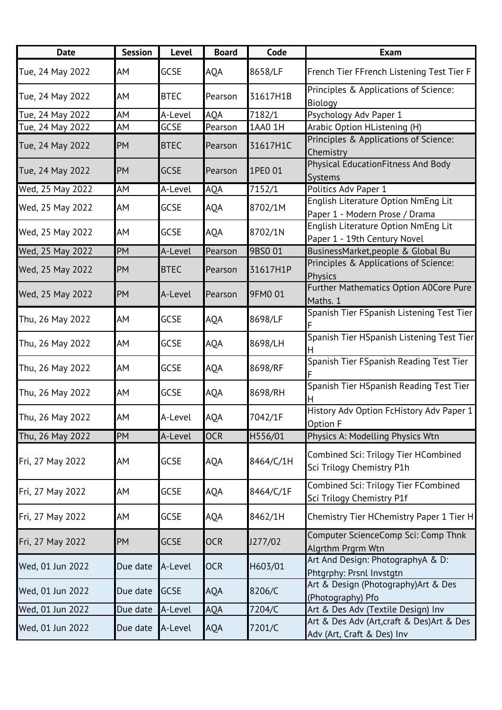| <b>Date</b>      | <b>Session</b> | Level       | <b>Board</b> | Code      | <b>Exam</b>                                                              |
|------------------|----------------|-------------|--------------|-----------|--------------------------------------------------------------------------|
| Tue, 24 May 2022 | AM             | <b>GCSE</b> | AQA          | 8658/LF   | French Tier FFrench Listening Test Tier F                                |
| Tue, 24 May 2022 | AM             | <b>BTEC</b> | Pearson      | 31617H1B  | Principles & Applications of Science:<br>Biology                         |
| Tue, 24 May 2022 | AM             | A-Level     | AQA          | 7182/1    | Psychology Adv Paper 1                                                   |
| Tue, 24 May 2022 | AM             | <b>GCSE</b> | Pearson      | 1AA0 1H   | Arabic Option HListening (H)                                             |
| Tue, 24 May 2022 | <b>PM</b>      | <b>BTEC</b> | Pearson      | 31617H1C  | Principles & Applications of Science:<br>Chemistry                       |
| Tue, 24 May 2022 | <b>PM</b>      | <b>GCSE</b> | Pearson      | 1PE0 01   | Physical EducationFitness And Body<br><b>Systems</b>                     |
| Wed, 25 May 2022 | AM             | A-Level     | <b>AQA</b>   | 7152/1    | Politics Adv Paper 1                                                     |
| Wed, 25 May 2022 | AM             | <b>GCSE</b> | AQA          | 8702/1M   | English Literature Option NmEng Lit<br>Paper 1 - Modern Prose / Drama    |
| Wed, 25 May 2022 | AM             | <b>GCSE</b> | <b>AQA</b>   | 8702/1N   | English Literature Option NmEng Lit<br>Paper 1 - 19th Century Novel      |
| Wed, 25 May 2022 | PM             | A-Level     | Pearson      | 9BS0 01   | BusinessMarket, people & Global Bu                                       |
| Wed, 25 May 2022 | <b>PM</b>      | <b>BTEC</b> | Pearson      | 31617H1P  | Principles & Applications of Science:<br><b>Physics</b>                  |
| Wed, 25 May 2022 | <b>PM</b>      | A-Level     | Pearson      | 9FM0 01   | <b>Further Mathematics Option A0Core Pure</b><br>Maths. 1                |
| Thu, 26 May 2022 | AM             | GCSE        | <b>AQA</b>   | 8698/LF   | Spanish Tier FSpanish Listening Test Tier                                |
| Thu, 26 May 2022 | AM             | GCSE        | <b>AQA</b>   | 8698/LH   | Spanish Tier HSpanish Listening Test Tier                                |
| Thu, 26 May 2022 | AM             | <b>GCSE</b> | <b>AQA</b>   | 8698/RF   | Spanish Tier FSpanish Reading Test Tier                                  |
| Thu, 26 May 2022 | AM             | GCSE        | AQA          | 8698/RH   | Spanish Tier HSpanish Reading Test Tier                                  |
| Thu, 26 May 2022 | AM             | A-Level     | <b>AQA</b>   | 7042/1F   | History Adv Option FcHistory Adv Paper 1<br><b>Option F</b>              |
| Thu, 26 May 2022 | PM             | A-Level     | <b>OCR</b>   | H556/01   | Physics A: Modelling Physics Wtn                                         |
| Fri, 27 May 2022 | AM             | <b>GCSE</b> | AQA          | 8464/C/1H | Combined Sci: Trilogy Tier HCombined<br>Sci Trilogy Chemistry P1h        |
| Fri, 27 May 2022 | AM             | <b>GCSE</b> | <b>AQA</b>   | 8464/C/1F | Combined Sci: Trilogy Tier FCombined<br>Sci Trilogy Chemistry P1f        |
| Fri, 27 May 2022 | AM             | <b>GCSE</b> | <b>AQA</b>   | 8462/1H   | Chemistry Tier HChemistry Paper 1 Tier H                                 |
| Fri, 27 May 2022 | <b>PM</b>      | <b>GCSE</b> | <b>OCR</b>   | J277/02   | Computer ScienceComp Sci: Comp Thnk<br>Algrthm Prgrm Wtn                 |
| Wed, 01 Jun 2022 | Due date       | A-Level     | <b>OCR</b>   | H603/01   | Art And Design: PhotographyA & D:<br>Phtgrphy: Prsnl Invstgtn            |
| Wed, 01 Jun 2022 | Due date       | <b>GCSE</b> | <b>AQA</b>   | 8206/C    | Art & Design (Photography) Art & Des<br>(Photography) Pfo                |
| Wed, 01 Jun 2022 | Due date       | A-Level     | <b>AQA</b>   | 7204/C    | Art & Des Adv (Textile Design) Inv                                       |
| Wed, 01 Jun 2022 | Due date       | A-Level     | AQA          | 7201/C    | Art & Des Adv (Art, craft & Des) Art & Des<br>Adv (Art, Craft & Des) Inv |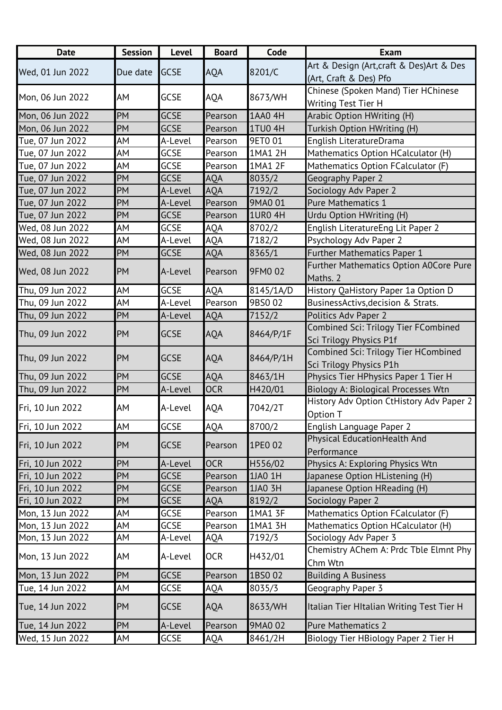| <b>Date</b>      | <b>Session</b> | Level       | <b>Board</b> | Code           | <b>Exam</b>                               |
|------------------|----------------|-------------|--------------|----------------|-------------------------------------------|
| Wed, 01 Jun 2022 | Due date       | <b>GCSE</b> | <b>AQA</b>   | 8201/C         | Art & Design (Art, craft & Des) Art & Des |
|                  |                |             |              |                | (Art, Craft & Des) Pfo                    |
| Mon, 06 Jun 2022 | AM             | GCSE        | <b>AQA</b>   | 8673/WH        | Chinese (Spoken Mand) Tier HChinese       |
|                  |                |             |              |                | Writing Test Tier H                       |
| Mon, 06 Jun 2022 | <b>PM</b>      | <b>GCSE</b> | Pearson      | 1AA0 4H        | Arabic Option HWriting (H)                |
| Mon, 06 Jun 2022 | PM             | <b>GCSE</b> | Pearson      | 1TU04H         | Turkish Option HWriting (H)               |
| Tue, 07 Jun 2022 | AM             | A-Level     | Pearson      | 9ET0 01        | English LiteratureDrama                   |
| Tue, 07 Jun 2022 | AМ             | <b>GCSE</b> | Pearson      | 1MA1 2H        | Mathematics Option HCalculator (H)        |
| Tue, 07 Jun 2022 | AM             | GCSE        | Pearson      | 1MA1 2F        | Mathematics Option FCalculator (F)        |
| Tue, 07 Jun 2022 | PM             | <b>GCSE</b> | <b>AQA</b>   | 8035/2         | Geography Paper 2                         |
| Tue, 07 Jun 2022 | <b>PM</b>      | A-Level     | <b>AQA</b>   | 7192/2         | Sociology Adv Paper 2                     |
| Tue, 07 Jun 2022 | PM             | A-Level     | Pearson      | 9MA0 01        | Pure Mathematics 1                        |
| Tue, 07 Jun 2022 | <b>PM</b>      | <b>GCSE</b> | Pearson      | <b>1UR0 4H</b> | Urdu Option HWriting (H)                  |
| Wed, 08 Jun 2022 | AМ             | <b>GCSE</b> | AQA          | 8702/2         | English LiteratureEng Lit Paper 2         |
| Wed, 08 Jun 2022 | AM             | A-Level     | <b>AQA</b>   | 7182/2         | Psychology Adv Paper 2                    |
| Wed, 08 Jun 2022 | PM             | <b>GCSE</b> | <b>AQA</b>   | 8365/1         | Further Mathematics Paper 1               |
| Wed, 08 Jun 2022 | <b>PM</b>      |             |              | 9FM0 02        | Further Mathematics Option A0Core Pure    |
|                  |                | A-Level     | Pearson      |                | Maths. 2                                  |
| Thu, 09 Jun 2022 | AM             | <b>GCSE</b> | AQA          | 8145/1A/D      | History QaHistory Paper 1a Option D       |
| Thu, 09 Jun 2022 | AМ             | A-Level     | Pearson      | 9BS0 02        | BusinessActivs, decision & Strats.        |
| Thu, 09 Jun 2022 | PM             | A-Level     | <b>AQA</b>   | 7152/2         | Politics Adv Paper 2                      |
| Thu, 09 Jun 2022 | PM             | <b>GCSE</b> | <b>AQA</b>   | 8464/P/1F      | Combined Sci: Trilogy Tier FCombined      |
|                  |                |             |              |                | Sci Trilogy Physics P1f                   |
| Thu, 09 Jun 2022 | PM             | <b>GCSE</b> | <b>AQA</b>   | 8464/P/1H      | Combined Sci: Trilogy Tier HCombined      |
|                  |                |             |              |                | Sci Trilogy Physics P1h                   |
| Thu, 09 Jun 2022 | PM             | <b>GCSE</b> | <b>AQA</b>   | 8463/1H        | Physics Tier HPhysics Paper 1 Tier H      |
| Thu, 09 Jun 2022 | PM             | A-Level     | <b>OCR</b>   | H420/01        | Biology A: Biological Processes Wtn       |
| Fri, 10 Jun 2022 | AM             | A-Level     | <b>AQA</b>   | 7042/2T        | History Adv Option CtHistory Adv Paper 2  |
|                  |                |             |              |                | Option T                                  |
| Fri, 10 Jun 2022 | AM             | GCSE        | <b>AQA</b>   | 8700/2         | English Language Paper 2                  |
| Fri, 10 Jun 2022 | PM             | <b>GCSE</b> | Pearson      | 1PE0 02        | Physical EducationHealth And              |
|                  |                |             |              |                | Performance                               |
| Fri, 10 Jun 2022 | PM             | A-Level     | <b>OCR</b>   | H556/02        | Physics A: Exploring Physics Wtn          |
| Fri, 10 Jun 2022 | PM             | <b>GCSE</b> | Pearson      | 1JA0 1H        | Japanese Option HListening (H)            |
| Fri, 10 Jun 2022 | PM             | <b>GCSE</b> | Pearson      | 1JA0 3H        | Japanese Option HReading (H)              |
| Fri, 10 Jun 2022 | PM             | <b>GCSE</b> | AQA          | 8192/2         | Sociology Paper 2                         |
| Mon, 13 Jun 2022 | AM             | <b>GCSE</b> | Pearson      | 1MA1 3F        | Mathematics Option FCalculator (F)        |
| Mon, 13 Jun 2022 | АM             | <b>GCSE</b> | Pearson      | 1MA1 3H        | Mathematics Option HCalculator (H)        |
| Mon, 13 Jun 2022 | АM             | A-Level     | AQA          | 7192/3         | Sociology Adv Paper 3                     |
| Mon, 13 Jun 2022 | AM             | A-Level     | <b>OCR</b>   | H432/01        | Chemistry AChem A: Prdc Tble Elmnt Phy    |
|                  |                |             |              |                | Chm Wtn                                   |
| Mon, 13 Jun 2022 | <b>PM</b>      | <b>GCSE</b> | Pearson      | 1BS0 02        | <b>Building A Business</b>                |
| Tue, 14 Jun 2022 | АM             | <b>GCSE</b> | AQA          | 8035/3         | Geography Paper 3                         |
|                  | PM             | <b>GCSE</b> | <b>AQA</b>   | 8633/WH        | Italian Tier HItalian Writing Test Tier H |
| Tue, 14 Jun 2022 |                |             |              |                |                                           |
| Tue, 14 Jun 2022 | <b>PM</b>      | A-Level     | Pearson      | 9MA0 02        | <b>Pure Mathematics 2</b>                 |
| Wed, 15 Jun 2022 | AM             | <b>GCSE</b> | AQA          | 8461/2H        | Biology Tier HBiology Paper 2 Tier H      |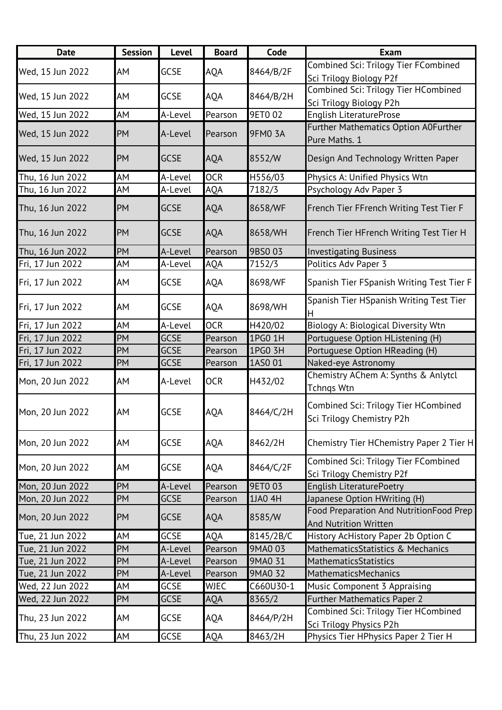| <b>Date</b>      | <b>Session</b> | <b>Level</b> | <b>Board</b> | Code           | <b>Exam</b>                                                             |
|------------------|----------------|--------------|--------------|----------------|-------------------------------------------------------------------------|
| Wed, 15 Jun 2022 | AM             | <b>GCSE</b>  | <b>AQA</b>   | 8464/B/2F      | Combined Sci: Trilogy Tier FCombined<br>Sci Trilogy Biology P2f         |
| Wed, 15 Jun 2022 | AM             | <b>GCSE</b>  | <b>AQA</b>   | 8464/B/2H      | Combined Sci: Trilogy Tier HCombined<br>Sci Trilogy Biology P2h         |
| Wed, 15 Jun 2022 | AM             | A-Level      | Pearson      | <b>9ET002</b>  | English LiteratureProse                                                 |
| Wed, 15 Jun 2022 | PM             | A-Level      | Pearson      | <b>9FM0 3A</b> | Further Mathematics Option A0Further<br>Pure Maths. 1                   |
| Wed, 15 Jun 2022 | PM             | <b>GCSE</b>  | <b>AQA</b>   | 8552/W         | Design And Technology Written Paper                                     |
| Thu, 16 Jun 2022 | AM             | A-Level      | <b>OCR</b>   | H556/03        | Physics A: Unified Physics Wtn                                          |
| Thu, 16 Jun 2022 | AM             | A-Level      | <b>AQA</b>   | 7182/3         | Psychology Adv Paper 3                                                  |
| Thu, 16 Jun 2022 | <b>PM</b>      | <b>GCSE</b>  | <b>AQA</b>   | 8658/WF        | French Tier FFrench Writing Test Tier F                                 |
| Thu, 16 Jun 2022 | PM             | <b>GCSE</b>  | <b>AQA</b>   | 8658/WH        | French Tier HFrench Writing Test Tier H                                 |
| Thu, 16 Jun 2022 | PM             | A-Level      | Pearson      | 9BS0 03        | <b>Investigating Business</b>                                           |
| Fri, 17 Jun 2022 | AМ             | A-Level      | AQA          | 7152/3         | Politics Adv Paper 3                                                    |
| Fri, 17 Jun 2022 | AM             | <b>GCSE</b>  | AQA          | 8698/WF        | Spanish Tier FSpanish Writing Test Tier F                               |
| Fri, 17 Jun 2022 | AM             | <b>GCSE</b>  | <b>AQA</b>   | 8698/WH        | Spanish Tier HSpanish Writing Test Tier                                 |
| Fri, 17 Jun 2022 | AM             | A-Level      | <b>OCR</b>   | H420/02        | Biology A: Biological Diversity Wtn                                     |
| Fri, 17 Jun 2022 | PM             | <b>GCSE</b>  | Pearson      | 1PG0 1H        | Portuguese Option HListening (H)                                        |
| Fri, 17 Jun 2022 | PM             | <b>GCSE</b>  | Pearson      | 1PG0 3H        | Portuguese Option HReading (H)                                          |
| Fri, 17 Jun 2022 | PM             | <b>GCSE</b>  | Pearson      | 1AS0 01        | Naked-eye Astronomy                                                     |
| Mon, 20 Jun 2022 | AM             | A-Level      | <b>OCR</b>   | H432/02        | Chemistry AChem A: Synths & Anlytcl<br><b>Tchngs Wtn</b>                |
| Mon, 20 Jun 2022 | AM             | GCSE         | AQA          | 8464/C/2H      | Combined Sci: Trilogy Tier HCombined<br>Sci Trilogy Chemistry P2h       |
| Mon, 20 Jun 2022 | AM             | <b>GCSE</b>  | <b>AQA</b>   | 8462/2H        | Chemistry Tier HChemistry Paper 2 Tier H                                |
| Mon, 20 Jun 2022 | AM             | <b>GCSE</b>  | <b>AQA</b>   | 8464/C/2F      | Combined Sci: Trilogy Tier FCombined<br>Sci Trilogy Chemistry P2f       |
| Mon, 20 Jun 2022 | PM             | A-Level      | Pearson      | <b>9ETO 03</b> | English LiteraturePoetry                                                |
| Mon, 20 Jun 2022 | PM             | <b>GCSE</b>  | Pearson      | 1JA0 4H        | Japanese Option HWriting (H)                                            |
| Mon, 20 Jun 2022 | PM             | GCSE         | <b>AQA</b>   | 8585/W         | Food Preparation And NutritionFood Prep<br><b>And Nutrition Written</b> |
| Tue, 21 Jun 2022 | AM             | <b>GCSE</b>  | AQA          | 8145/2B/C      | History AcHistory Paper 2b Option C                                     |
| Tue, 21 Jun 2022 | PM             | A-Level      | Pearson      | 9MA0 03        | MathematicsStatistics & Mechanics                                       |
| Tue, 21 Jun 2022 | PM             | A-Level      | Pearson      | 9MA0 31        | MathematicsStatistics                                                   |
| Tue, 21 Jun 2022 | PM             | A-Level      | Pearson      | 9MA0 32        | MathematicsMechanics                                                    |
| Wed, 22 Jun 2022 | AМ             | <b>GCSE</b>  | <b>WJEC</b>  | C660U30-1      | Music Component 3 Appraising                                            |
| Wed, 22 Jun 2022 | PM             | <b>GCSE</b>  | <b>AQA</b>   | 8365/2         | <b>Further Mathematics Paper 2</b>                                      |
| Thu, 23 Jun 2022 | AM             | GCSE         | AQA          | 8464/P/2H      | <b>Combined Sci: Trilogy Tier HCombined</b><br>Sci Trilogy Physics P2h  |
| Thu, 23 Jun 2022 | AM             | GCSE         | AQA          | 8463/2H        | Physics Tier HPhysics Paper 2 Tier H                                    |